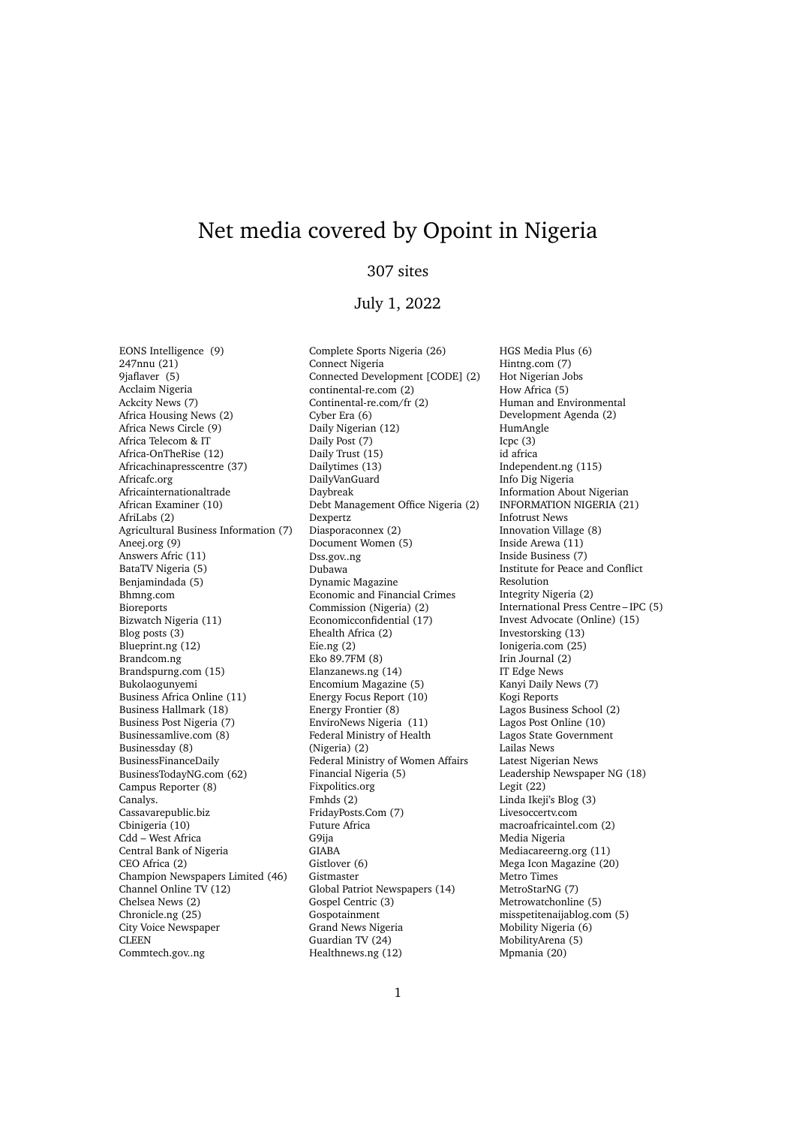## Net media covered by Opoint in Nigeria

## 307 sites

## July 1, 2022

EONS Intelligence (9) 247nnu (21) 9jaflaver (5) Acclaim Nigeria Ackcity News (7) Africa Housing News (2) Africa News Circle (9) Africa Telecom & IT Africa-OnTheRise (12) Africachinapresscentre (37) Africafc.org Africainternationaltrade African Examiner (10) AfriLabs (2) Agricultural Business Information (7) Aneej.org (9) Answers Afric (11) BataTV Nigeria (5) Benjamindada (5) Bhmng.com Bioreports Bizwatch Nigeria (11) Blog posts (3) Blueprint.ng (12) Brandcom.ng Brandspurng.com (15) Bukolaogunyemi Business Africa Online (11) Business Hallmark (18) Business Post Nigeria (7) Businessamlive.com (8) Businessday (8) BusinessFinanceDaily BusinessTodayNG.com (62) Campus Reporter (8) Canalys. Cassavarepublic.biz Cbinigeria (10) Cdd – West Africa Central Bank of Nigeria CEO Africa (2) Champion Newspapers Limited (46) Channel Online TV (12) Chelsea News (2) Chronicle.ng (25) City Voice Newspaper CLEEN Commtech.gov..ng

Complete Sports Nigeria (26) Connect Nigeria Connected Development [CODE] (2) continental-re.com (2) Continental-re.com/fr (2) Cyber Era (6) Daily Nigerian (12) Daily Post (7) Daily Trust (15) Dailytimes (13) DailyVanGuard Daybreak Debt Management Office Nigeria (2) Dexpertz Diasporaconnex (2) Document Women (5) Dss.gov..ng Dubawa Dynamic Magazine Economic and Financial Crimes Commission (Nigeria) (2) Economicconfidential (17) Ehealth Africa (2) Eie.ng (2) Eko 89.7FM (8) Elanzanews.ng (14) Encomium Magazine (5) Energy Focus Report (10) Energy Frontier (8) EnviroNews Nigeria (11) Federal Ministry of Health (Nigeria) (2) Federal Ministry of Women Affairs Financial Nigeria (5) Fixpolitics.org Fmhds (2) FridayPosts.Com (7) Future Africa G9ija GIABA Gistlover (6) Gistmaster Global Patriot Newspapers (14) Gospel Centric (3) Gospotainment Grand News Nigeria Guardian TV (24) Healthnews.ng (12)

HGS Media Plus (6) Hintng.com (7) Hot Nigerian Jobs How Africa (5) Human and Environmental Development Agenda (2) HumAngle Icpc  $(3)$ id africa Independent.ng (115) Info Dig Nigeria Information About Nigerian INFORMATION NIGERIA (21) Infotrust News Innovation Village (8) Inside Arewa (11) Inside Business (7) Institute for Peace and Conflict Resolution Integrity Nigeria (2) International Press Centre – IPC (5) Invest Advocate (Online) (15) Investorsking (13) Ionigeria.com (25) Irin Journal (2) IT Edge News Kanyi Daily News (7) Kogi Reports Lagos Business School (2) Lagos Post Online (10) Lagos State Government Lailas News Latest Nigerian News Leadership Newspaper NG (18) Legit (22) Linda Ikeji's Blog (3) Livesoccertv.com macroafricaintel.com (2) Media Nigeria Mediacareerng.org (11) Mega Icon Magazine (20) Metro Times MetroStarNG (7) Metrowatchonline (5) misspetitenaijablog.com (5) Mobility Nigeria (6) MobilityArena (5) Mpmania (20)